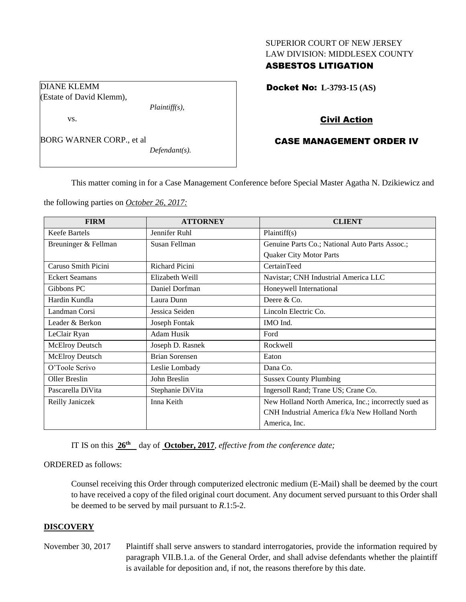# SUPERIOR COURT OF NEW JERSEY LAW DIVISION: MIDDLESEX COUNTY

# ASBESTOS LITIGATION

Docket No: **L-3793-15 (AS)** 

# Civil Action

# CASE MANAGEMENT ORDER IV

This matter coming in for a Case Management Conference before Special Master Agatha N. Dzikiewicz and

the following parties on *October 26, 2017:*

*Plaintiff(s),*

*Defendant(s).*

DIANE KLEMM

vs.

(Estate of David Klemm),

BORG WARNER CORP., et al

| <b>FIRM</b>            | <b>ATTORNEY</b>       | <b>CLIENT</b>                                        |
|------------------------|-----------------------|------------------------------------------------------|
| <b>Keefe Bartels</b>   | Jennifer Ruhl         | Plaintiff(s)                                         |
| Breuninger & Fellman   | Susan Fellman         | Genuine Parts Co.; National Auto Parts Assoc.;       |
|                        |                       | <b>Quaker City Motor Parts</b>                       |
| Caruso Smith Picini    | Richard Picini        | CertainTeed                                          |
| <b>Eckert Seamans</b>  | Elizabeth Weill       | Navistar; CNH Industrial America LLC                 |
| Gibbons PC             | Daniel Dorfman        | Honeywell International                              |
| Hardin Kundla          | Laura Dunn            | Deere & Co.                                          |
| Landman Corsi          | Jessica Seiden        | Lincoln Electric Co.                                 |
| Leader & Berkon        | Joseph Fontak         | IMO Ind.                                             |
| LeClair Ryan           | Adam Husik            | Ford                                                 |
| <b>McElroy Deutsch</b> | Joseph D. Rasnek      | Rockwell                                             |
| <b>McElroy Deutsch</b> | <b>Brian Sorensen</b> | Eaton                                                |
| O'Toole Scrivo         | Leslie Lombady        | Dana Co.                                             |
| Oller Breslin          | John Breslin          | <b>Sussex County Plumbing</b>                        |
| Pascarella DiVita      | Stephanie DiVita      | Ingersoll Rand; Trane US; Crane Co.                  |
| Reilly Janiczek        | Inna Keith            | New Holland North America, Inc.; incorrectly sued as |
|                        |                       | CNH Industrial America f/k/a New Holland North       |
|                        |                       | America, Inc.                                        |

IT IS on this **26th** day of **October, 2017**, *effective from the conference date;*

#### ORDERED as follows:

Counsel receiving this Order through computerized electronic medium (E-Mail) shall be deemed by the court to have received a copy of the filed original court document. Any document served pursuant to this Order shall be deemed to be served by mail pursuant to *R*.1:5-2.

## **DISCOVERY**

November 30, 2017 Plaintiff shall serve answers to standard interrogatories, provide the information required by paragraph VII.B.1.a. of the General Order, and shall advise defendants whether the plaintiff is available for deposition and, if not, the reasons therefore by this date.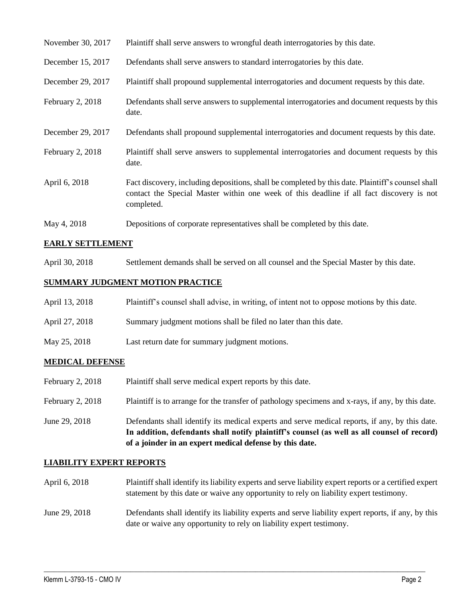| November 30, 2017 | Plaintiff shall serve answers to wrongful death interrogatories by this date.                                                                                                                               |
|-------------------|-------------------------------------------------------------------------------------------------------------------------------------------------------------------------------------------------------------|
| December 15, 2017 | Defendants shall serve answers to standard interrogatories by this date.                                                                                                                                    |
| December 29, 2017 | Plaintiff shall propound supplemental interrogatories and document requests by this date.                                                                                                                   |
| February 2, 2018  | Defendants shall serve answers to supplemental interrogatories and document requests by this<br>date.                                                                                                       |
| December 29, 2017 | Defendants shall propound supplemental interrogatories and document requests by this date.                                                                                                                  |
| February 2, 2018  | Plaintiff shall serve answers to supplemental interrogatories and document requests by this<br>date.                                                                                                        |
| April 6, 2018     | Fact discovery, including depositions, shall be completed by this date. Plaintiff's counsel shall<br>contact the Special Master within one week of this deadline if all fact discovery is not<br>completed. |
| May 4, 2018       | Depositions of corporate representatives shall be completed by this date.                                                                                                                                   |

#### **EARLY SETTLEMENT**

April 30, 2018 Settlement demands shall be served on all counsel and the Special Master by this date.

# **SUMMARY JUDGMENT MOTION PRACTICE**

| April 13, 2018 | Plaintiff's counsel shall advise, in writing, of intent not to oppose motions by this date. |
|----------------|---------------------------------------------------------------------------------------------|
| April 27, 2018 | Summary judgment motions shall be filed no later than this date.                            |
| May 25, 2018   | Last return date for summary judgment motions.                                              |

# **MEDICAL DEFENSE**

February 2, 2018 Plaintiff shall serve medical expert reports by this date. February 2, 2018 Plaintiff is to arrange for the transfer of pathology specimens and x-rays, if any, by this date. June 29, 2018 Defendants shall identify its medical experts and serve medical reports, if any, by this date. **In addition, defendants shall notify plaintiff's counsel (as well as all counsel of record)** 

**of a joinder in an expert medical defense by this date.**

#### **LIABILITY EXPERT REPORTS**

- April 6, 2018 Plaintiff shall identify its liability experts and serve liability expert reports or a certified expert statement by this date or waive any opportunity to rely on liability expert testimony.
- June 29, 2018 Defendants shall identify its liability experts and serve liability expert reports, if any, by this date or waive any opportunity to rely on liability expert testimony.

 $\_$  ,  $\_$  ,  $\_$  ,  $\_$  ,  $\_$  ,  $\_$  ,  $\_$  ,  $\_$  ,  $\_$  ,  $\_$  ,  $\_$  ,  $\_$  ,  $\_$  ,  $\_$  ,  $\_$  ,  $\_$  ,  $\_$  ,  $\_$  ,  $\_$  ,  $\_$  ,  $\_$  ,  $\_$  ,  $\_$  ,  $\_$  ,  $\_$  ,  $\_$  ,  $\_$  ,  $\_$  ,  $\_$  ,  $\_$  ,  $\_$  ,  $\_$  ,  $\_$  ,  $\_$  ,  $\_$  ,  $\_$  ,  $\_$  ,